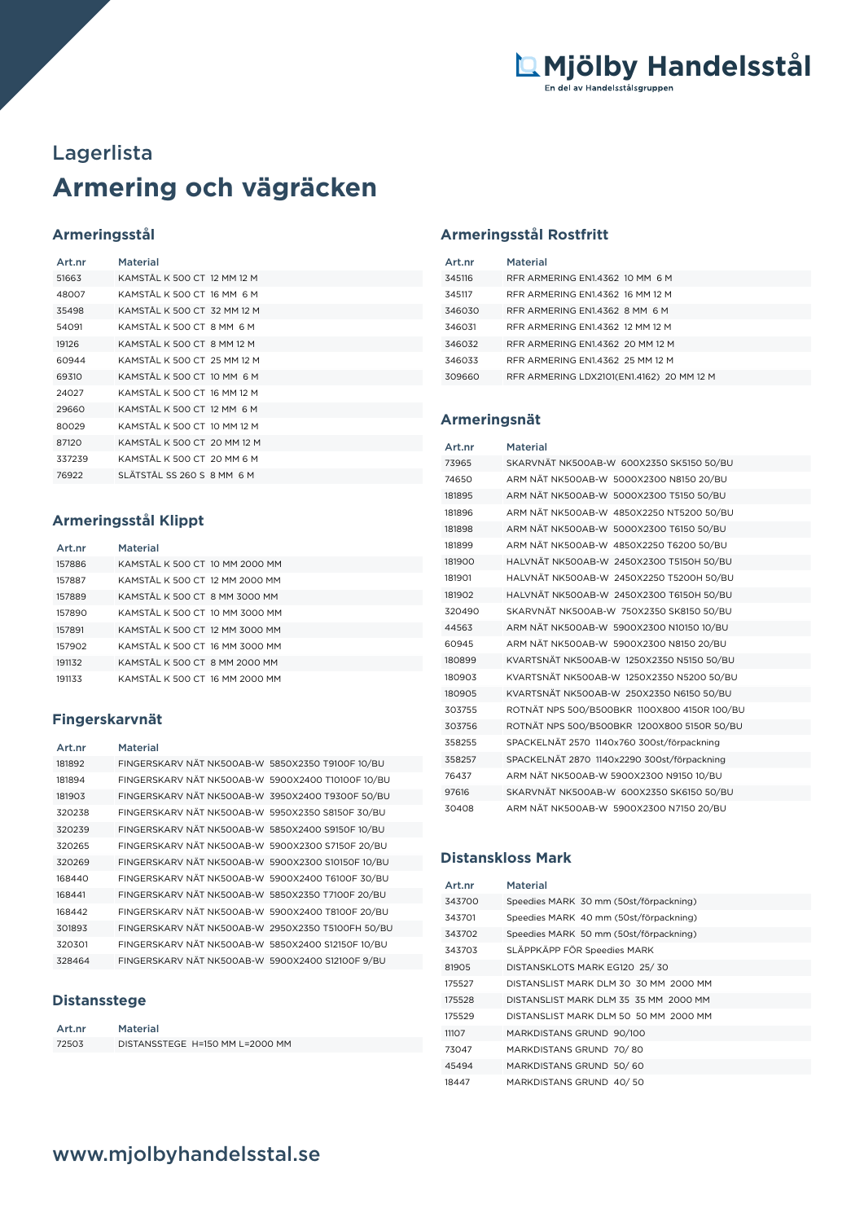# **Armering och vägräcken** Lagerlista

# **Armeringsstål**

| Art.nr | Material                    |
|--------|-----------------------------|
| 51663  | KAMSTÅL K 500 CT 12 MM 12 M |
| 48007  | KAMSTÅI K 500 CT 16 MM 6 M  |
| 35498  | KAMSTÅL K 500 CT 32 MM 12 M |
| 54091  | KAMSTÅL K 500 CT 8 MM 6 M   |
| 19126  | KAMSTÅL K 500 CT 8 MM 12 M  |
| 60944  | KAMSTÅL K 500 CT 25 MM 12 M |
| 69310  | KAMSTÅL K 500 CT 10 MM 6 M  |
| 24027  | KAMSTÅL K 500 CT 16 MM 12 M |
| 29660  | KAMSTÅL K 500 CT 12 MM 6 M  |
| 80029  | KAMSTÅL K 500 CT 10 MM 12 M |
| 87120  | KAMSTÅL K 500 CT 20 MM 12 M |
| 337239 | KAMSTÅL K 500 CT 20 MM 6 M  |
| 76922  | SI ÄTSTÅI SS 260 S 8 MM 6 M |

## **Armeringsstål Klippt**

| Art.nr | <b>Material</b>                |
|--------|--------------------------------|
| 157886 | KAMSTÅL K 500 CT 10 MM 2000 MM |
| 157887 | KAMSTÅL K 500 CT 12 MM 2000 MM |
| 157889 | KAMSTÅL K 500 CT 8 MM 3000 MM  |
| 157890 | KAMSTÅL K 500 CT 10 MM 3000 MM |
| 157891 | KAMSTÅL K 500 CT 12 MM 3000 MM |
| 157902 | KAMSTÅL K 500 CT 16 MM 3000 MM |
| 191132 | KAMSTÅL K 500 CT 8 MM 2000 MM  |
| 191133 | KAMSTÅL K 500 CT-16 MM 2000 MM |

## **Fingerskarvnät**

| Art.nr | <b>Material</b>                                   |
|--------|---------------------------------------------------|
| 181892 | FINGERSKARV NÄT NK500AB-W 5850X2350 T9100F 10/BU  |
| 181894 | FINGERSKARV NÄT NK500AB-W 5900X2400 T10100F 10/BU |
| 181903 | FINGERSKARV NÄT NK500AB-W 3950X2400 T9300F 50/BU  |
| 320238 | FINGERSKARV NÄT NK500AB-W 5950X2350 S8150F 30/BU  |
| 320239 | FINGERSKARV NÄT NK500AB-W 5850X2400 S9150F 10/BU  |
| 320265 | FINGERSKARV NÄT NK500AB-W 5900X2300 S7150F 20/BU  |
| 320269 | FINGERSKARV NÄT NK500AB-W 5900X2300 S10150F 10/BU |
| 168440 | FINGERSKARV NÄT NK500AB-W 5900X2400 T6100F 30/BU  |
| 168441 | FINGERSKARV NÄT NK500AB-W 5850X2350 T7100F 20/BU  |
| 168442 | FINGERSKARV NÄT NK500AB-W 5900X2400 T8100F 20/BU  |
| 301893 | FINGERSKARV NÄT NK500AB-W 2950X2350 T5100FH 50/BU |
| 320301 | FINGERSKARV NÄT NK500AB-W 5850X2400 S12150F 10/BU |
| 328464 | FINGERSKARV NÄT NK500AB-W 5900X2400 S12100F 9/BU  |

## **Distansstege**

| Art.nr | Material                        |
|--------|---------------------------------|
| 72503  | DISTANSSTEGE H=150 MM L=2000 MM |

## **Armeringsstål Rostfritt**

| Art.nr | Material                                  |
|--------|-------------------------------------------|
| 345116 | RER ARMERING EN14362 10 MM 6 M            |
| 345117 | RFR ARMERING EN1.4362 16 MM 12 M          |
| 346030 | RFR ARMERING EN1.4362 8 MM 6 M            |
| 346031 | RFR ARMERING EN1.4362 12 MM 12 M          |
| 346032 | RFR ARMERING EN1.4362 20 MM 12 M          |
| 346033 | RFR ARMERING EN1.4362 25 MM 12 M          |
| 309660 | RFR ARMERING LDX2101(EN1.4162) 20 MM 12 M |

#### **Armeringsnät**

| Art.nr | Material                                     |
|--------|----------------------------------------------|
| 73965  | SKARVNÄT NK500AB-W 600X2350 SK5150 50/BU     |
| 74650  | ARM NÄT NK500AB-W 5000X2300 N8150 20/BU      |
| 181895 | ARM NÄT NK500AB-W 5000X2300 T5150 50/BU      |
| 181896 | ARM NÄT NK500AB-W 4850X2250 NT5200 50/BU     |
| 181898 | ARM NÄT NK500AB-W 5000X2300 T6150 50/BU      |
| 181899 | ARM NÄT NK500AB-W 4850X2250 T6200 50/BU      |
| 181900 | HALVNÄT NK500AB-W 2450X2300 T5150H 50/BU     |
| 181901 | HALVNÄT NK500AB-W 2450X2250 T5200H 50/BU     |
| 181902 | HALVNÄT NK500AB-W 2450X2300 T6150H 50/BU     |
| 320490 | SKARVNÄT NK500AB-W 750X2350 SK8150 50/BU     |
| 44563  | ARM NÄT NK500AB-W 5900X2300 N10150 10/BU     |
| 60945  | ARM NÄT NK500AB-W 5900X2300 N8150 20/BU      |
| 180899 | KVARTSNÄT NK500AB-W 1250X2350 N5150 50/BU    |
| 180903 | KVARTSNÄT NK500AB-W 1250X2350 N5200 50/BU    |
| 180905 | KVARTSNÄT NK500AB-W 250X2350 N6150 50/BU     |
| 303755 | ROTNÄT NPS 500/B500BKR 1100X800 4150R 100/BU |
| 303756 | ROTNÄT NPS 500/B500BKR 1200X800 5150R 50/BU  |
| 358255 | SPACKELNÄT 2570 1140x760 300st/förpackning   |
| 358257 | SPACKELNÄT 2870 1140x2290 300st/förpackning  |
| 76437  | ARM NÄT NK500AB-W 5900X2300 N9150 10/BU      |
| 97616  | SKARVNÄT NK500AB-W 600X2350 SK6150 50/BU     |
| 30408  | ARM NÄT NK500AB-W 5900X2300 N7150 20/BU      |

#### **Distanskloss Mark**

| Art.nr | Material                               |
|--------|----------------------------------------|
| 343700 | Speedies MARK 30 mm (50st/förpackning) |
| 343701 | Speedies MARK 40 mm (50st/förpackning) |
| 343702 | Speedies MARK 50 mm (50st/förpackning) |
| 343703 | SLÄPPKÄPP FÖR Speedies MARK            |
| 81905  | DISTANSKLOTS MARK EG120 25/30          |
| 175527 | DISTANSLIST MARK DLM 30 30 MM 2000 MM  |
| 175528 | DISTANSLIST MARK DLM 35 35 MM 2000 MM  |
| 175529 | DISTANSLIST MARK DLM 50 50 MM 2000 MM  |
| 11107  | MARKDISTANS GRUND 90/100               |
| 73047  | MARKDISTANS GRUND 70/80                |
| 45494  | MARKDISTANS GRUND 50/60                |
| 18447  | MARKDISTANS GRUND 40/50                |